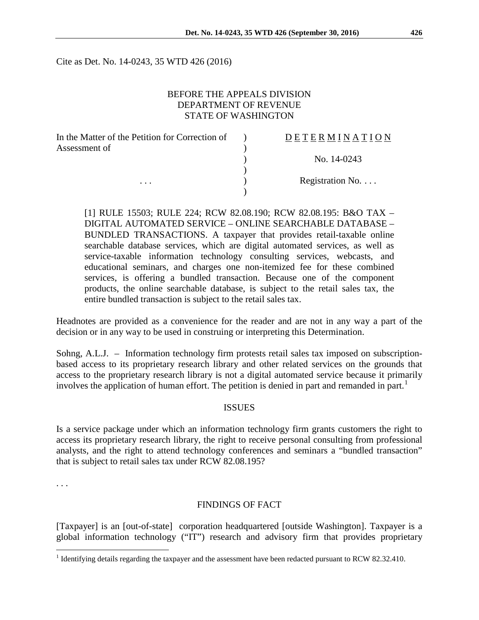Cite as Det. No. 14-0243, 35 WTD 426 (2016)

### BEFORE THE APPEALS DIVISION DEPARTMENT OF REVENUE STATE OF WASHINGTON

| In the Matter of the Petition for Correction of | <b>DETERMINATION</b>     |
|-------------------------------------------------|--------------------------|
| Assessment of                                   |                          |
|                                                 | No. 14-0243              |
|                                                 |                          |
| $\cdots$                                        | Registration No. $\dots$ |
|                                                 |                          |

[1] RULE 15503; RULE 224; RCW 82.08.190; RCW 82.08.195: B&O TAX – DIGITAL AUTOMATED SERVICE – ONLINE SEARCHABLE DATABASE – BUNDLED TRANSACTIONS. A taxpayer that provides retail-taxable online searchable database services, which are digital automated services, as well as service-taxable information technology consulting services, webcasts, and educational seminars, and charges one non-itemized fee for these combined services, is offering a bundled transaction. Because one of the component products, the online searchable database, is subject to the retail sales tax, the entire bundled transaction is subject to the retail sales tax.

Headnotes are provided as a convenience for the reader and are not in any way a part of the decision or in any way to be used in construing or interpreting this Determination.

Sohng, A.L.J. – Information technology firm protests retail sales tax imposed on subscriptionbased access to its proprietary research library and other related services on the grounds that access to the proprietary research library is not a digital automated service because it primarily involves the application of human effort. The petition is denied in part and remanded in part.<sup>[1](#page-0-0)</sup>

#### **ISSUES**

Is a service package under which an information technology firm grants customers the right to access its proprietary research library, the right to receive personal consulting from professional analysts, and the right to attend technology conferences and seminars a "bundled transaction" that is subject to retail sales tax under RCW 82.08.195?

. . .

#### FINDINGS OF FACT

[Taxpayer] is an [out-of-state] corporation headquartered [outside Washington]. Taxpayer is a global information technology ("IT") research and advisory firm that provides proprietary

<span id="page-0-0"></span><sup>&</sup>lt;sup>1</sup> Identifying details regarding the taxpayer and the assessment have been redacted pursuant to RCW 82.32.410.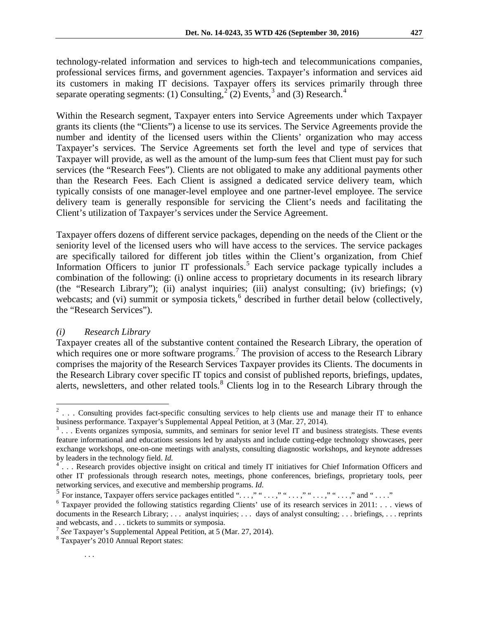technology-related information and services to high-tech and telecommunications companies, professional services firms, and government agencies. Taxpayer's information and services aid its customers in making IT decisions. Taxpayer offers its services primarily through three separate operating segments: (1) Consulting,<sup>[2](#page-1-0)</sup> (2) Events,<sup>[3](#page-1-1)</sup> and (3) Research.<sup>[4](#page-1-2)</sup>

Within the Research segment, Taxpayer enters into Service Agreements under which Taxpayer grants its clients (the "Clients") a license to use its services. The Service Agreements provide the number and identity of the licensed users within the Clients' organization who may access Taxpayer's services. The Service Agreements set forth the level and type of services that Taxpayer will provide, as well as the amount of the lump-sum fees that Client must pay for such services (the "Research Fees"). Clients are not obligated to make any additional payments other than the Research Fees. Each Client is assigned a dedicated service delivery team, which typically consists of one manager-level employee and one partner-level employee. The service delivery team is generally responsible for servicing the Client's needs and facilitating the Client's utilization of Taxpayer's services under the Service Agreement.

Taxpayer offers dozens of different service packages, depending on the needs of the Client or the seniority level of the licensed users who will have access to the services. The service packages are specifically tailored for different job titles within the Client's organization, from Chief Information Officers to junior IT professionals.<sup>[5](#page-1-3)</sup> Each service package typically includes a combination of the following: (i) online access to proprietary documents in its research library (the "Research Library"); (ii) analyst inquiries; (iii) analyst consulting; (iv) briefings; (v) webcasts; and (vi) summit or symposia tickets, $<sup>6</sup>$  $<sup>6</sup>$  $<sup>6</sup>$  described in further detail below (collectively,</sup> the "Research Services").

### *(i) Research Library*

Taxpayer creates all of the substantive content contained the Research Library, the operation of which requires one or more software programs.<sup>[7](#page-1-5)</sup> The provision of access to the Research Library comprises the majority of the Research Services Taxpayer provides its Clients. The documents in the Research Library cover specific IT topics and consist of published reports, briefings, updates, alerts, newsletters, and other related tools.<sup>[8](#page-1-6)</sup> Clients log in to the Research Library through the

<span id="page-1-0"></span> $2 \ldots$  Consulting provides fact-specific consulting services to help clients use and manage their IT to enhance business performance. Taxpayer's Supplemental Appeal Petition, at 3 (Mar. 27, 2014).

<span id="page-1-1"></span> $3 \ldots$  Events organizes symposia, summits, and seminars for senior level IT and business strategists. These events feature informational and educations sessions led by analysts and include cutting-edge technology showcases, peer exchange workshops, one-on-one meetings with analysts, consulting diagnostic workshops, and keynote addresses

<span id="page-1-2"></span>by leaders in the technology field. *Id.*  $\frac{4}{1}$ ... Research provides objective insight on critical and timely IT initiatives for Chief Information Officers and other IT professionals through research notes, meetings, phone conferences, briefings, proprietary tools, peer networking services, and executive and membership programs. *Id.*

<span id="page-1-3"></span> $^5$  For instance, Taxpayer offers service packages entitled "...," "...," "...," "...," "...," and "...."

<span id="page-1-4"></span><sup>&</sup>lt;sup>6</sup> Taxpayer provided the following statistics regarding Clients' use of its research services in 2011: . . . views of documents in the Research Library; ... analyst inquiries; ... days of analyst consulting; ... briefings, ... reprints and webcasts, and . . . tickets to summits or symposia.<br><sup>7</sup> *See* Taxpayer's Supplemental Appeal Petition, at 5 (Mar. 27, 2014).<br><sup>8</sup> Taxpayer's 2010 Annual Report states:

<span id="page-1-6"></span><span id="page-1-5"></span>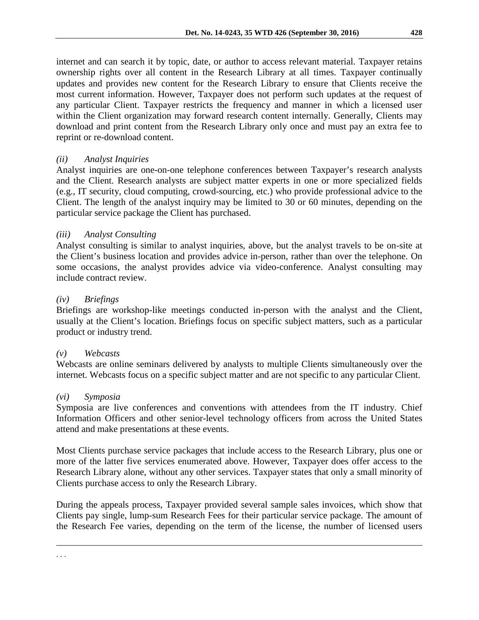internet and can search it by topic, date, or author to access relevant material. Taxpayer retains ownership rights over all content in the Research Library at all times. Taxpayer continually updates and provides new content for the Research Library to ensure that Clients receive the most current information. However, Taxpayer does not perform such updates at the request of any particular Client. Taxpayer restricts the frequency and manner in which a licensed user within the Client organization may forward research content internally. Generally, Clients may download and print content from the Research Library only once and must pay an extra fee to reprint or re-download content.

## *(ii) Analyst Inquiries*

Analyst inquiries are one-on-one telephone conferences between Taxpayer's research analysts and the Client. Research analysts are subject matter experts in one or more specialized fields (e.g., IT security, cloud computing, crowd-sourcing, etc.) who provide professional advice to the Client. The length of the analyst inquiry may be limited to 30 or 60 minutes, depending on the particular service package the Client has purchased.

## *(iii) Analyst Consulting*

Analyst consulting is similar to analyst inquiries, above, but the analyst travels to be on-site at the Client's business location and provides advice in-person, rather than over the telephone. On some occasions, the analyst provides advice via video-conference. Analyst consulting may include contract review.

### *(iv) Briefings*

Briefings are workshop-like meetings conducted in-person with the analyst and the Client, usually at the Client's location. Briefings focus on specific subject matters, such as a particular product or industry trend.

### *(v) Webcasts*

Webcasts are online seminars delivered by analysts to multiple Clients simultaneously over the internet. Webcasts focus on a specific subject matter and are not specific to any particular Client.

### *(vi) Symposia*

 $\overline{a}$ . . .

Symposia are live conferences and conventions with attendees from the IT industry. Chief Information Officers and other senior-level technology officers from across the United States attend and make presentations at these events.

Most Clients purchase service packages that include access to the Research Library, plus one or more of the latter five services enumerated above. However, Taxpayer does offer access to the Research Library alone, without any other services. Taxpayer states that only a small minority of Clients purchase access to only the Research Library.

During the appeals process, Taxpayer provided several sample sales invoices, which show that Clients pay single, lump-sum Research Fees for their particular service package. The amount of the Research Fee varies, depending on the term of the license, the number of licensed users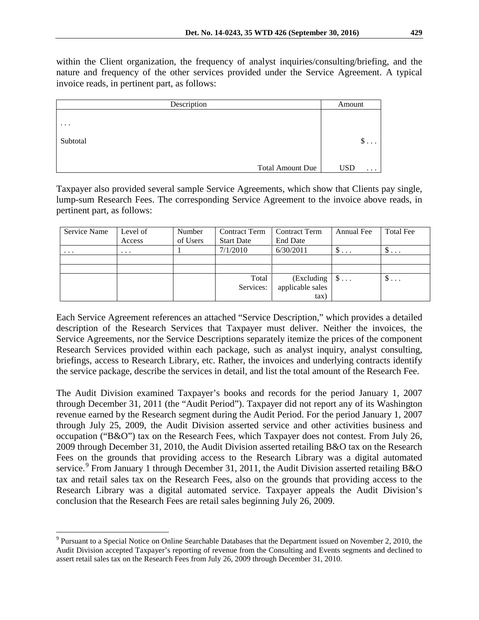within the Client organization, the frequency of analyst inquiries/consulting/briefing, and the nature and frequency of the other services provided under the Service Agreement. A typical invoice reads, in pertinent part, as follows:

| Description |                         | Amount                 |
|-------------|-------------------------|------------------------|
|             |                         |                        |
| $\ddotsc$   |                         |                        |
| Subtotal    |                         | \$<br>.                |
|             |                         |                        |
|             | <b>Total Amount Due</b> | <b>USD</b><br>$\cdots$ |

Taxpayer also provided several sample Service Agreements, which show that Clients pay single, lump-sum Research Fees. The corresponding Service Agreement to the invoice above reads, in pertinent part, as follows:

| Service Name | Level of | Number   | <b>Contract Term</b> | <b>Contract Term</b> | Annual Fee    | <b>Total Fee</b> |
|--------------|----------|----------|----------------------|----------------------|---------------|------------------|
|              | Access   | of Users | <b>Start Date</b>    | End Date             |               |                  |
| $\cdots$     | $\cdots$ |          | 7/1/2010             | 6/30/2011            | $\mathcal{D}$ | $\mathcal{P}$    |
|              |          |          |                      |                      |               |                  |
|              |          |          |                      |                      |               |                  |
|              |          |          | Total                | $\left($ Excluding   | $\mathbb{S}$  | $\mathcal{D}$    |
|              |          |          | Services:            | applicable sales     |               |                  |
|              |          |          |                      | tax)                 |               |                  |

Each Service Agreement references an attached "Service Description," which provides a detailed description of the Research Services that Taxpayer must deliver. Neither the invoices, the Service Agreements, nor the Service Descriptions separately itemize the prices of the component Research Services provided within each package, such as analyst inquiry, analyst consulting, briefings, access to Research Library, etc. Rather, the invoices and underlying contracts identify the service package, describe the services in detail, and list the total amount of the Research Fee.

The Audit Division examined Taxpayer's books and records for the period January 1, 2007 through December 31, 2011 (the "Audit Period"). Taxpayer did not report any of its Washington revenue earned by the Research segment during the Audit Period. For the period January 1, 2007 through July 25, 2009, the Audit Division asserted service and other activities business and occupation ("B&O") tax on the Research Fees, which Taxpayer does not contest. From July 26, 2009 through December 31, 2010, the Audit Division asserted retailing B&O tax on the Research Fees on the grounds that providing access to the Research Library was a digital automated service.<sup>[9](#page-3-0)</sup> From January 1 through December 31, 2011, the Audit Division asserted retailing B&O tax and retail sales tax on the Research Fees, also on the grounds that providing access to the Research Library was a digital automated service. Taxpayer appeals the Audit Division's conclusion that the Research Fees are retail sales beginning July 26, 2009.

<span id="page-3-0"></span> $9$  Pursuant to a Special Notice on Online Searchable Databases that the Department issued on November 2, 2010, the Audit Division accepted Taxpayer's reporting of revenue from the Consulting and Events segments and declined to assert retail sales tax on the Research Fees from July 26, 2009 through December 31, 2010.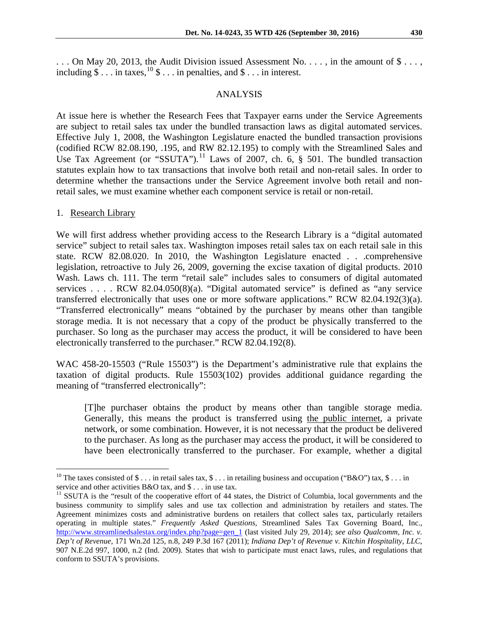$\ldots$  On May 20, 2013, the Audit Division issued Assessment No.  $\ldots$ , in the amount of  $\$\ldots$ , including  $\$\dots$  in taxes,  $^{10}\$\dots$  $^{10}\$\dots$  $^{10}\$\dots$  in penalties, and  $\$ \dots$  in interest.

#### ANALYSIS

At issue here is whether the Research Fees that Taxpayer earns under the Service Agreements are subject to retail sales tax under the bundled transaction laws as digital automated services. Effective July 1, 2008, the Washington Legislature enacted the bundled transaction provisions (codified RCW 82.08.190, .195, and RW 82.12.195) to comply with the Streamlined Sales and Use Tax Agreement (or "SSUTA").<sup>[11](#page-4-1)</sup> Laws of 2007, ch.  $6, \S$  501. The bundled transaction statutes explain how to tax transactions that involve both retail and non-retail sales. In order to determine whether the transactions under the Service Agreement involve both retail and nonretail sales, we must examine whether each component service is retail or non-retail.

#### 1. Research Library

We will first address whether providing access to the Research Library is a "digital automated service" subject to retail sales tax. Washington imposes retail sales tax on each retail sale in this state. RCW 82.08.020. In 2010, the Washington Legislature enacted . . .comprehensive legislation, retroactive to July 26, 2009, governing the excise taxation of digital products. 2010 Wash. Laws ch. 111. The term "retail sale" includes sales to consumers of digital automated services . . . . RCW 82.04.050(8)(a). "Digital automated service" is defined as "any service" transferred electronically that uses one or more software applications." RCW 82.04.192(3)(a). "Transferred electronically" means "obtained by the purchaser by means other than tangible storage media. It is not necessary that a copy of the product be physically transferred to the purchaser. So long as the purchaser may access the product, it will be considered to have been electronically transferred to the purchaser." RCW 82.04.192(8).

WAC 458-20-15503 ("Rule 15503") is the Department's administrative rule that explains the taxation of digital products. Rule 15503(102) provides additional guidance regarding the meaning of "transferred electronically":

[T]he purchaser obtains the product by means other than tangible storage media. Generally, this means the product is transferred using the public internet, a private network, or some combination. However, it is not necessary that the product be delivered to the purchaser. As long as the purchaser may access the product, it will be considered to have been electronically transferred to the purchaser. For example, whether a digital

<span id="page-4-0"></span><sup>&</sup>lt;sup>10</sup> The taxes consisted of \$ . . . in retail sales tax, \$ . . . in retailing business and occupation ("B&O") tax, \$ . . . in service and other activities B&O tax, and \$ . . . in use tax.

<span id="page-4-1"></span> $11$  SSUTA is the "result of the cooperative effort of 44 states, the District of Columbia, local governments and the business community to simplify sales and use tax collection and administration by retailers and states. The Agreement minimizes costs and administrative burdens on retailers that collect sales tax, particularly retailers operating in multiple states." *Frequently Asked Questions,* Streamlined Sales Tax Governing Board, Inc., [http://www.streamlinedsalestax.org/index.php?page=gen\\_1](http://www.streamlinedsalestax.org/index.php?page=gen_1) (last visited July 29, 2014); *see also Qualcomm, Inc. v. Dep't of Revenue,* 171 Wn.2d 125, n.8, 249 P.3d 167 (2011); *Indiana Dep't of Revenue v. Kitchin Hospitality*, *LLC*, 907 N.E.2d 997, 1000, n.2 (Ind. 2009). States that wish to participate must enact laws, rules, and regulations that conform to SSUTA's provisions.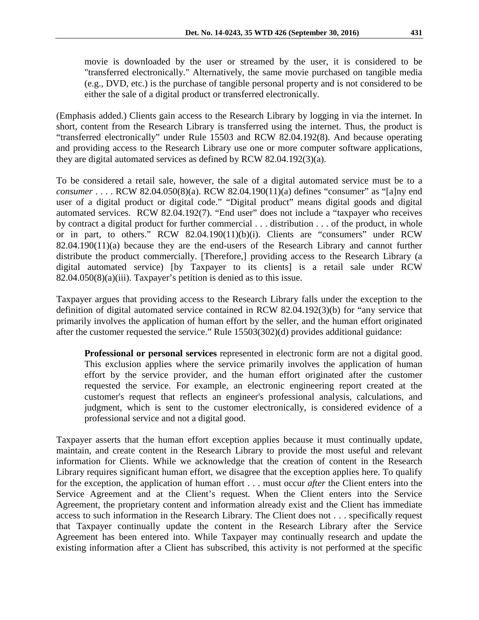movie is downloaded by the user or streamed by the user, it is considered to be "transferred electronically." Alternatively, the same movie purchased on tangible media (e.g., DVD, etc.) is the purchase of tangible personal property and is not considered to be either the sale of a digital product or transferred electronically.

(Emphasis added.) Clients gain access to the Research Library by logging in via the internet. In short, content from the Research Library is transferred using the internet. Thus, the product is "transferred electronically" under Rule 15503 and RCW 82.04.192(8). And because operating and providing access to the Research Library use one or more computer software applications, they are digital automated services as defined by RCW 82.04.192(3)(a).

To be considered a retail sale, however, the sale of a digital automated service must be to a *consumer* . . . . RCW 82.04.050(8)(a). RCW 82.04.190(11)(a) defines "consumer" as "[a]ny end user of a digital product or digital code." "Digital product" means digital goods and digital automated services. RCW 82.04.192(7). "End user" does not include a "taxpayer who receives by contract a digital product for further commercial . . . distribution . . . of the product, in whole or in part, to others." RCW 82.04.190(11)(b)(i). Clients are "consumers" under RCW 82.04.190(11)(a) because they are the end-users of the Research Library and cannot further distribute the product commercially. [Therefore,] providing access to the Research Library (a digital automated service) [by Taxpayer to its clients] is a retail sale under RCW 82.04.050(8)(a)(iii). Taxpayer's petition is denied as to this issue.

Taxpayer argues that providing access to the Research Library falls under the exception to the definition of digital automated service contained in RCW 82.04.192(3)(b) for "any service that primarily involves the application of human effort by the seller, and the human effort originated after the customer requested the service." Rule 15503(302)(d) provides additional guidance:

**Professional or personal services** represented in electronic form are not a digital good. This exclusion applies where the service primarily involves the application of human effort by the service provider, and the human effort originated after the customer requested the service. For example, an electronic engineering report created at the customer's request that reflects an engineer's professional analysis, calculations, and judgment, which is sent to the customer electronically, is considered evidence of a professional service and not a digital good.

Taxpayer asserts that the human effort exception applies because it must continually update, maintain, and create content in the Research Library to provide the most useful and relevant information for Clients. While we acknowledge that the creation of content in the Research Library requires significant human effort, we disagree that the exception applies here. To qualify for the exception, the application of human effort . . . must occur *after* the Client enters into the Service Agreement and at the Client's request. When the Client enters into the Service Agreement, the proprietary content and information already exist and the Client has immediate access to such information in the Research Library. The Client does not . . . specifically request that Taxpayer continually update the content in the Research Library after the Service Agreement has been entered into. While Taxpayer may continually research and update the existing information after a Client has subscribed, this activity is not performed at the specific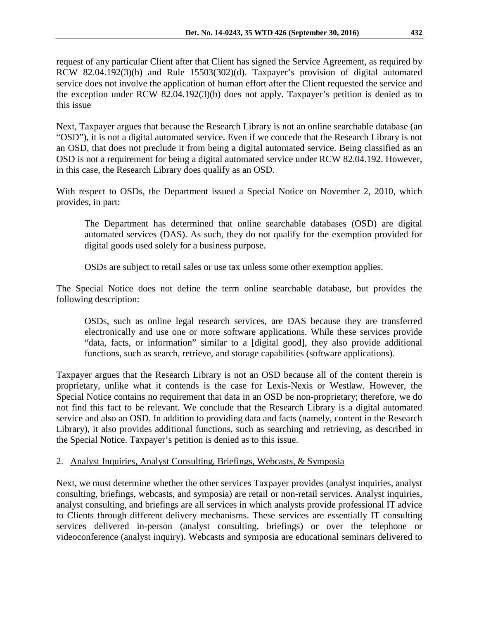request of any particular Client after that Client has signed the Service Agreement, as required by RCW 82.04.192(3)(b) and Rule 15503(302)(d). Taxpayer's provision of digital automated service does not involve the application of human effort after the Client requested the service and the exception under RCW 82.04.192(3)(b) does not apply. Taxpayer's petition is denied as to this issue

Next, Taxpayer argues that because the Research Library is not an online searchable database (an "OSD"), it is not a digital automated service. Even if we concede that the Research Library is not an OSD, that does not preclude it from being a digital automated service. Being classified as an OSD is not a requirement for being a digital automated service under RCW 82.04.192. However, in this case, the Research Library does qualify as an OSD.

With respect to OSDs, the Department issued a Special Notice on November 2, 2010, which provides, in part:

The Department has determined that online searchable databases (OSD) are digital automated services (DAS). As such, they do not qualify for the exemption provided for digital goods used solely for a business purpose.

OSDs are subject to retail sales or use tax unless some other exemption applies.

The Special Notice does not define the term online searchable database, but provides the following description:

OSDs, such as online legal research services, are DAS because they are transferred electronically and use one or more software applications. While these services provide "data, facts, or information" similar to a [digital good], they also provide additional functions, such as search, retrieve, and storage capabilities (software applications).

Taxpayer argues that the Research Library is not an OSD because all of the content therein is proprietary, unlike what it contends is the case for Lexis-Nexis or Westlaw. However, the Special Notice contains no requirement that data in an OSD be non-proprietary; therefore, we do not find this fact to be relevant. We conclude that the Research Library is a digital automated service and also an OSD. In addition to providing data and facts (namely, content in the Research Library), it also provides additional functions, such as searching and retrieving, as described in the Special Notice. Taxpayer's petition is denied as to this issue.

# 2. Analyst Inquiries, Analyst Consulting, Briefings, Webcasts, & Symposia

Next, we must determine whether the other services Taxpayer provides (analyst inquiries, analyst consulting, briefings, webcasts, and symposia) are retail or non-retail services. Analyst inquiries, analyst consulting, and briefings are all services in which analysts provide professional IT advice to Clients through different delivery mechanisms. These services are essentially IT consulting services delivered in-person (analyst consulting, briefings) or over the telephone or videoconference (analyst inquiry). Webcasts and symposia are educational seminars delivered to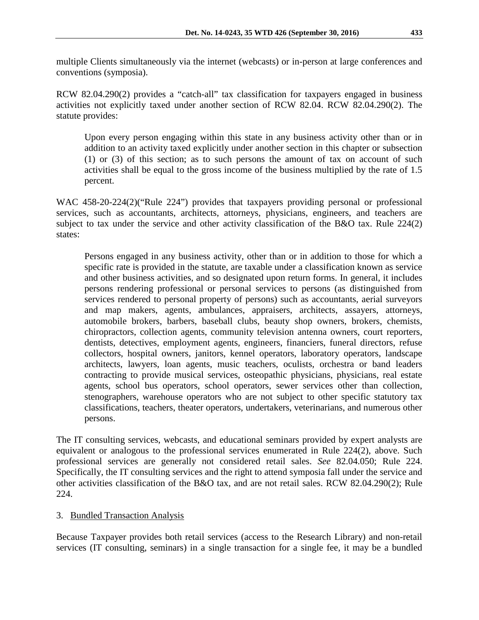multiple Clients simultaneously via the internet (webcasts) or in-person at large conferences and conventions (symposia).

RCW 82.04.290(2) provides a "catch-all" tax classification for taxpayers engaged in business activities not explicitly taxed under another section of RCW 82.04. RCW 82.04.290(2). The statute provides:

Upon every person engaging within this state in any business activity other than or in addition to an activity taxed explicitly under another section in this chapter or subsection (1) or (3) of this section; as to such persons the amount of tax on account of such activities shall be equal to the gross income of the business multiplied by the rate of 1.5 percent.

WAC 458-20-224(2)("Rule 224") provides that taxpayers providing personal or professional services, such as accountants, architects, attorneys, physicians, engineers, and teachers are subject to tax under the service and other activity classification of the B&O tax. Rule 224(2) states:

Persons engaged in any business activity, other than or in addition to those for which a specific rate is provided in the statute, are taxable under a classification known as service and other business activities, and so designated upon return forms. In general, it includes persons rendering professional or personal services to persons (as distinguished from services rendered to personal property of persons) such as accountants, aerial surveyors and map makers, agents, ambulances, appraisers, architects, assayers, attorneys, automobile brokers, barbers, baseball clubs, beauty shop owners, brokers, chemists, chiropractors, collection agents, community television antenna owners, court reporters, dentists, detectives, employment agents, engineers, financiers, funeral directors, refuse collectors, hospital owners, janitors, kennel operators, laboratory operators, landscape architects, lawyers, loan agents, music teachers, oculists, orchestra or band leaders contracting to provide musical services, osteopathic physicians, physicians, real estate agents, school bus operators, school operators, sewer services other than collection, stenographers, warehouse operators who are not subject to other specific statutory tax classifications, teachers, theater operators, undertakers, veterinarians, and numerous other persons.

The IT consulting services, webcasts, and educational seminars provided by expert analysts are equivalent or analogous to the professional services enumerated in Rule 224(2), above. Such professional services are generally not considered retail sales. *See* 82.04.050; Rule 224. Specifically, the IT consulting services and the right to attend symposia fall under the service and other activities classification of the B&O tax, and are not retail sales. RCW 82.04.290(2); Rule 224.

# 3. Bundled Transaction Analysis

Because Taxpayer provides both retail services (access to the Research Library) and non-retail services (IT consulting, seminars) in a single transaction for a single fee, it may be a bundled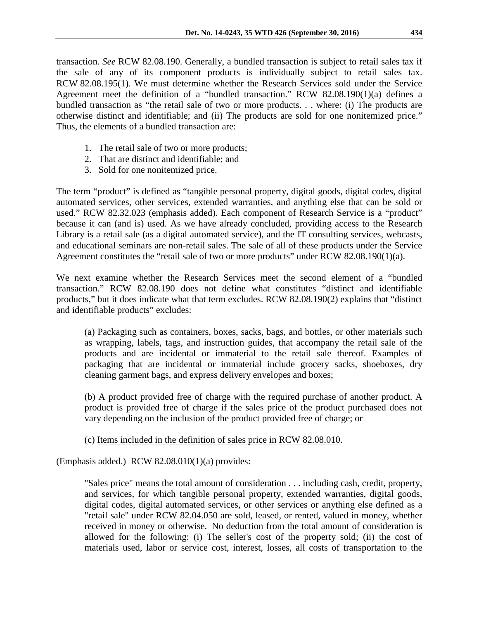transaction. *See* RCW 82.08.190. Generally, a bundled transaction is subject to retail sales tax if the sale of any of its component products is individually subject to retail sales tax. RCW 82.08.195(1). We must determine whether the Research Services sold under the Service Agreement meet the definition of a "bundled transaction." RCW 82.08.190(1)(a) defines a bundled transaction as "the retail sale of two or more products. . . where: (i) The products are otherwise distinct and identifiable; and (ii) The products are sold for one nonitemized price." Thus, the elements of a bundled transaction are:

- 1. The retail sale of two or more products;
- 2. That are distinct and identifiable; and
- 3. Sold for one nonitemized price.

The term "product" is defined as "tangible personal property, digital goods, digital codes, digital automated services, other services, extended warranties, and anything else that can be sold or used." RCW 82.32.023 (emphasis added). Each component of Research Service is a "product" because it can (and is) used. As we have already concluded, providing access to the Research Library is a retail sale (as a digital automated service), and the IT consulting services, webcasts, and educational seminars are non-retail sales. The sale of all of these products under the Service Agreement constitutes the "retail sale of two or more products" under RCW 82.08.190(1)(a).

We next examine whether the Research Services meet the second element of a "bundled transaction." RCW 82.08.190 does not define what constitutes "distinct and identifiable products," but it does indicate what that term excludes. RCW 82.08.190(2) explains that "distinct and identifiable products" excludes:

(a) Packaging such as containers, boxes, sacks, bags, and bottles, or other materials such as wrapping, labels, tags, and instruction guides, that accompany the retail sale of the products and are incidental or immaterial to the retail sale thereof. Examples of packaging that are incidental or immaterial include grocery sacks, shoeboxes, dry cleaning garment bags, and express delivery envelopes and boxes;

(b) A product provided free of charge with the required purchase of another product. A product is provided free of charge if the sales price of the product purchased does not vary depending on the inclusion of the product provided free of charge; or

# (c) Items included in the definition of sales price in RCW 82.08.010.

(Emphasis added.) RCW 82.08.010(1)(a) provides:

"Sales price" means the total amount of consideration . . . including cash, credit, property, and services, for which tangible personal property, extended warranties, digital goods, digital codes, digital automated services, or other services or anything else defined as a "retail sale" under RCW [82.04.050](http://apps.leg.wa.gov/rcw/default.aspx?cite=82.04.050) are sold, leased, or rented, valued in money, whether received in money or otherwise. No deduction from the total amount of consideration is allowed for the following: (i) The seller's cost of the property sold; (ii) the cost of materials used, labor or service cost, interest, losses, all costs of transportation to the